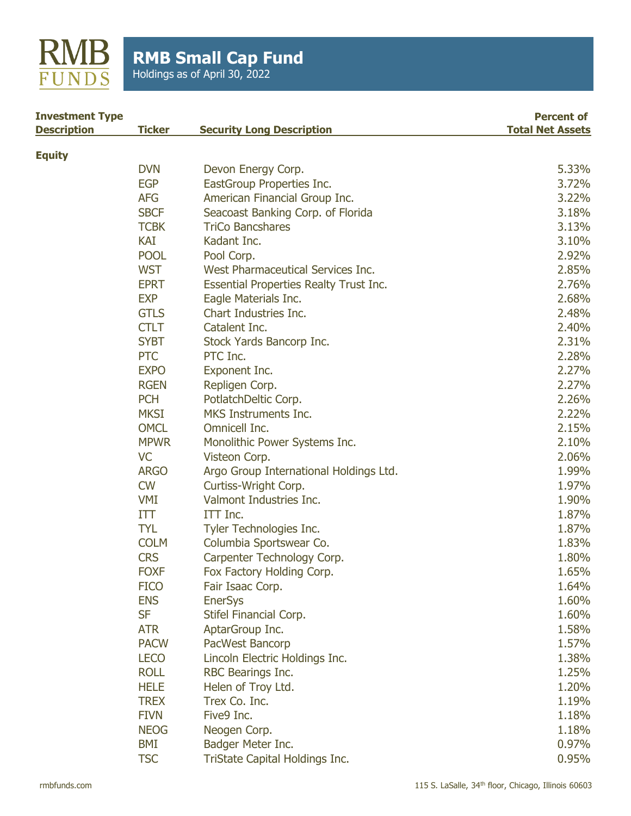

| <b>Investment Type</b> |               |                                               | <b>Percent of</b>       |
|------------------------|---------------|-----------------------------------------------|-------------------------|
| <b>Description</b>     | <b>Ticker</b> | <b>Security Long Description</b>              | <b>Total Net Assets</b> |
| <b>Equity</b>          |               |                                               |                         |
|                        | <b>DVN</b>    | Devon Energy Corp.                            | 5.33%                   |
|                        | <b>EGP</b>    | EastGroup Properties Inc.                     | 3.72%                   |
|                        | <b>AFG</b>    | American Financial Group Inc.                 | 3.22%                   |
|                        | <b>SBCF</b>   | Seacoast Banking Corp. of Florida             | 3.18%                   |
|                        | <b>TCBK</b>   | <b>TriCo Bancshares</b>                       | 3.13%                   |
|                        | KAI           | Kadant Inc.                                   | 3.10%                   |
|                        | <b>POOL</b>   | Pool Corp.                                    | 2.92%                   |
|                        | <b>WST</b>    | West Pharmaceutical Services Inc.             | 2.85%                   |
|                        | <b>EPRT</b>   | <b>Essential Properties Realty Trust Inc.</b> | 2.76%                   |
|                        | <b>EXP</b>    | Eagle Materials Inc.                          | 2.68%                   |
|                        | <b>GTLS</b>   | Chart Industries Inc.                         | 2.48%                   |
|                        | <b>CTLT</b>   | Catalent Inc.                                 | 2.40%                   |
|                        | <b>SYBT</b>   | Stock Yards Bancorp Inc.                      | 2.31%                   |
|                        | <b>PTC</b>    | PTC Inc.                                      | 2.28%                   |
|                        | <b>EXPO</b>   | Exponent Inc.                                 | 2.27%                   |
|                        | <b>RGEN</b>   | Repligen Corp.                                | 2.27%                   |
|                        | <b>PCH</b>    | PotlatchDeltic Corp.                          | 2.26%                   |
|                        | <b>MKSI</b>   | MKS Instruments Inc.                          | 2.22%                   |
|                        | <b>OMCL</b>   | Omnicell Inc.                                 | 2.15%                   |
|                        | <b>MPWR</b>   | Monolithic Power Systems Inc.                 | 2.10%                   |
|                        | <b>VC</b>     | Visteon Corp.                                 | 2.06%                   |
|                        | <b>ARGO</b>   | Argo Group International Holdings Ltd.        | 1.99%                   |
|                        | <b>CW</b>     | Curtiss-Wright Corp.                          | 1.97%                   |
|                        | <b>VMI</b>    | Valmont Industries Inc.                       | 1.90%                   |
|                        | ITT           | ITT Inc.                                      | 1.87%                   |
|                        | <b>TYL</b>    | Tyler Technologies Inc.                       | 1.87%                   |
|                        | <b>COLM</b>   | Columbia Sportswear Co.                       | 1.83%                   |
|                        | <b>CRS</b>    | Carpenter Technology Corp.                    | 1.80%                   |
|                        | <b>FOXF</b>   | Fox Factory Holding Corp.                     | 1.65%                   |
|                        | <b>FICO</b>   | Fair Isaac Corp.                              | 1.64%                   |

ENS EnerSys 1.60% SF Stifel Financial Corp. 2008 2012 1.60% ATR AptarGroup Inc. 2008 1.58% PACW PacWest Bancorp 2008 1.57% LECO Lincoln Electric Holdings Inc. 1.38% ROLL RBC Bearings Inc. 25% HELE Helen of Troy Ltd. 1.20% TREX Trex Co. Inc. 1.19% FIVN Five9 Inc. 2008 1.18% NEOG Neogen Corp. 2008 1.18% BMI Badger Meter Inc. **DETERTIES** 8 0.97% TSC TriState Capital Holdings Inc. The Contract of the Contract of the Contract of the Contract of the Contract of the Contract of the Contract of the Contract of the Contract of the Contract of the Contract of the Contrac